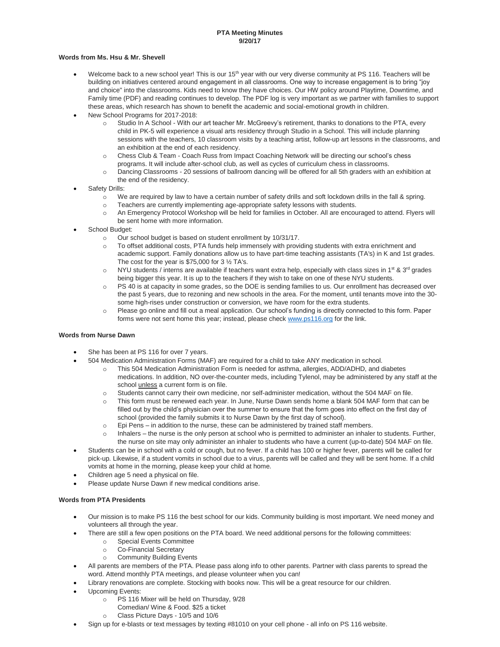## **PTA Meeting Minutes 9/20/17**

## **Words from Ms. Hsu & Mr. Shevell**

- Welcome back to a new school year! This is our 15<sup>th</sup> year with our very diverse community at PS 116. Teachers will be building on initiatives centered around engagement in all classrooms. One way to increase engagement is to bring "joy and choice" into the classrooms. Kids need to know they have choices. Our HW policy around Playtime, Downtime, and Family time (PDF) and reading continues to develop. The PDF log is very important as we partner with families to support these areas, which research has shown to benefit the academic and social-emotional growth in children.
- New School Programs for 2017-2018:
	- o Studio In A School With our art teacher Mr. McGreevy's retirement, thanks to donations to the PTA, every child in PK-5 will experience a visual arts residency through Studio in a School. This will include planning sessions with the teachers, 10 classroom visits by a teaching artist, follow-up art lessons in the classrooms, and an exhibition at the end of each residency.
	- o Chess Club & Team Coach Russ from Impact Coaching Network will be directing our school's chess programs. It will include after-school club, as well as cycles of curriculum chess in classrooms.
	- o Dancing Classrooms 20 sessions of ballroom dancing will be offered for all 5th graders with an exhibition at the end of the residency.
- Safety Drills:
	- o We are required by law to have a certain number of safety drills and soft lockdown drills in the fall & spring.
	- o Teachers are currently implementing age-appropriate safety lessons with students.
	- o An Emergency Protocol Workshop will be held for families in October. All are encouraged to attend. Flyers will be sent home with more information.
- School Budget:
	- o Our school budget is based on student enrollment by 10/31/17.
	- o To offset additional costs, PTA funds help immensely with providing students with extra enrichment and academic support. Family donations allow us to have part-time teaching assistants (TA's) in K and 1st grades. The cost for the year is  $$75,000$  for 3  $\frac{1}{2}$  TA's.
	- o NYU students / interns are available if teachers want extra help, especially with class sizes in 1<sup>st</sup> & 3<sup>rd</sup> grades being bigger this year. It is up to the teachers if they wish to take on one of these NYU students.
	- o PS 40 is at capacity in some grades, so the DOE is sending families to us. Our enrollment has decreased over the past 5 years, due to rezoning and new schools in the area. For the moment, until tenants move into the 30 some high-rises under construction or conversion, we have room for the extra students.
	- o Please go online and fill out a meal application. Our school's funding is directly connected to this form. Paper forms were not sent home this year; instead, please chec[k www.ps116.org](http://www.ps116.org/) for the link.

## **Words from Nurse Dawn**

- She has been at PS 116 for over 7 years.
	- 504 Medication Administration Forms (MAF) are required for a child to take ANY medication in school.
		- o This 504 Medication Administration Form is needed for asthma, allergies, ADD/ADHD, and diabetes medications. In addition, NO over-the-counter meds, including Tylenol, may be administered by any staff at the school *unless* a current form is on file.
		- o Students cannot carry their own medicine, nor self-administer medication, without the 504 MAF on file.
		- o This form must be renewed each year. In June, Nurse Dawn sends home a blank 504 MAF form that can be filled out by the child's physician over the summer to ensure that the form goes into effect on the first day of school (provided the family submits it to Nurse Dawn by the first day of school).
		- o Epi Pens in addition to the nurse, these can be administered by trained staff members.
		- o Inhalers the nurse is the only person at school who is permitted to administer an inhaler to students. Further, the nurse on site may only administer an inhaler to students who have a current (up-to-date) 504 MAF on file.
- Students can be in school with a cold or cough, but no fever. If a child has 100 or higher fever, parents will be called for pick-up. Likewise, if a student vomits in school due to a virus, parents will be called and they will be sent home. If a child vomits at home in the morning, please keep your child at home.
- Children age 5 need a physical on file.
- Please update Nurse Dawn if new medical conditions arise.

## **Words from PTA Presidents**

- Our mission is to make PS 116 the best school for our kids. Community building is most important. We need money and volunteers all through the year.
- There are still a few open positions on the PTA board. We need additional persons for the following committees:
	- o Special Events Committee
	- o Co-Financial Secretary
	- o Community Building Events
- All parents are members of the PTA. Please pass along info to other parents. Partner with class parents to spread the word. Attend monthly PTA meetings, and please volunteer when you can!
- Library renovations are complete. Stocking with books now. This will be a great resource for our children.
- Upcoming Events:
	- o PS 116 Mixer will be held on Thursday, 9/28
	- Comedian/ Wine & Food. \$25 a ticket
	- o Class Picture Days 10/5 and 10/6
- Sign up for e-blasts or text messages by texting #81010 on your cell phone all info on PS 116 website.